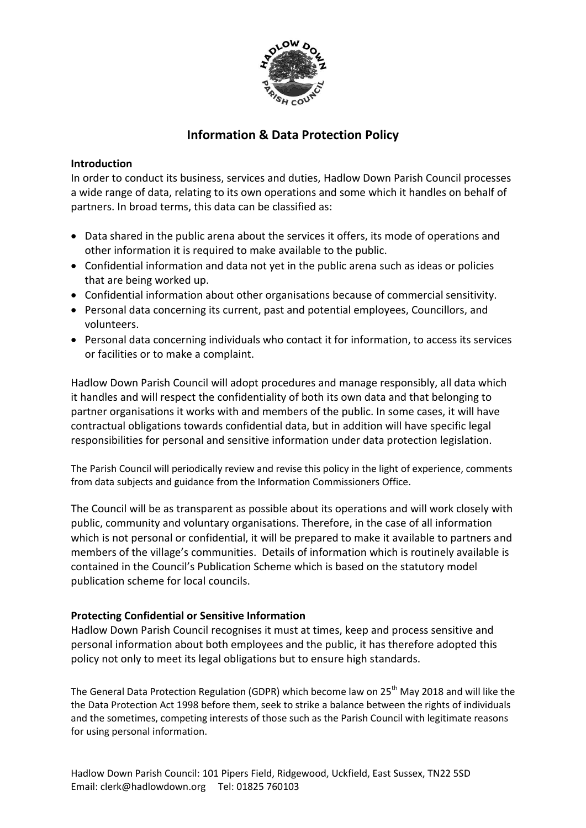

# **Information & Data Protection Policy**

### **Introduction**

In order to conduct its business, services and duties, Hadlow Down Parish Council processes a wide range of data, relating to its own operations and some which it handles on behalf of partners. In broad terms, this data can be classified as:

- Data shared in the public arena about the services it offers, its mode of operations and other information it is required to make available to the public.
- Confidential information and data not yet in the public arena such as ideas or policies that are being worked up.
- Confidential information about other organisations because of commercial sensitivity.
- Personal data concerning its current, past and potential employees, Councillors, and volunteers.
- Personal data concerning individuals who contact it for information, to access its services or facilities or to make a complaint.

Hadlow Down Parish Council will adopt procedures and manage responsibly, all data which it handles and will respect the confidentiality of both its own data and that belonging to partner organisations it works with and members of the public. In some cases, it will have contractual obligations towards confidential data, but in addition will have specific legal responsibilities for personal and sensitive information under data protection legislation.

The Parish Council will periodically review and revise this policy in the light of experience, comments from data subjects and guidance from the Information Commissioners Office.

The Council will be as transparent as possible about its operations and will work closely with public, community and voluntary organisations. Therefore, in the case of all information which is not personal or confidential, it will be prepared to make it available to partners and members of the village's communities. Details of information which is routinely available is contained in the Council's Publication Scheme which is based on the statutory model publication scheme for local councils.

## **Protecting Confidential or Sensitive Information**

Hadlow Down Parish Council recognises it must at times, keep and process sensitive and personal information about both employees and the public, it has therefore adopted this policy not only to meet its legal obligations but to ensure high standards.

The General Data Protection Regulation (GDPR) which become law on 25<sup>th</sup> May 2018 and will like the the Data Protection Act 1998 before them, seek to strike a balance between the rights of individuals and the sometimes, competing interests of those such as the Parish Council with legitimate reasons for using personal information.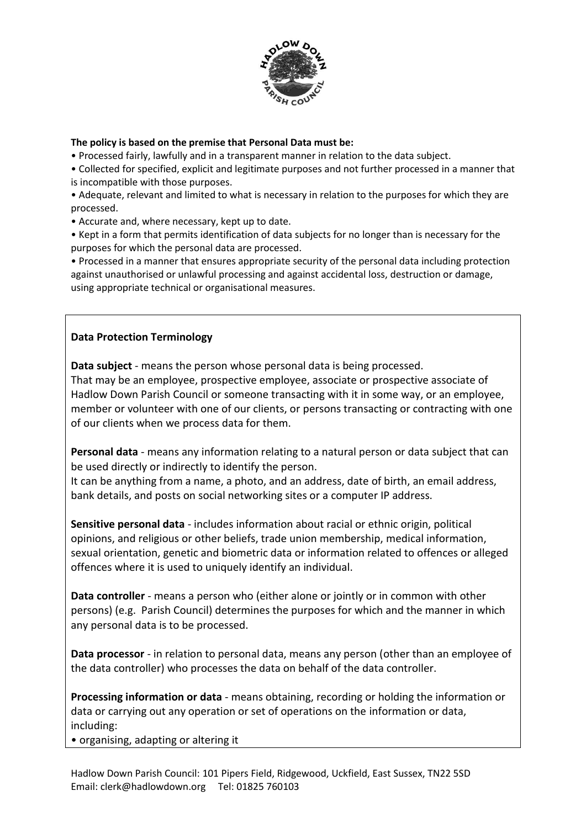

#### **The policy is based on the premise that Personal Data must be:**

• Processed fairly, lawfully and in a transparent manner in relation to the data subject.

• Collected for specified, explicit and legitimate purposes and not further processed in a manner that is incompatible with those purposes.

• Adequate, relevant and limited to what is necessary in relation to the purposes for which they are processed.

• Accurate and, where necessary, kept up to date.

• Kept in a form that permits identification of data subjects for no longer than is necessary for the purposes for which the personal data are processed.

• Processed in a manner that ensures appropriate security of the personal data including protection against unauthorised or unlawful processing and against accidental loss, destruction or damage, using appropriate technical or organisational measures.

## **Data Protection Terminology**

**Data subject** - means the person whose personal data is being processed.

That may be an employee, prospective employee, associate or prospective associate of Hadlow Down Parish Council or someone transacting with it in some way, or an employee, member or volunteer with one of our clients, or persons transacting or contracting with one of our clients when we process data for them.

**Personal data** - means any information relating to a natural person or data subject that can be used directly or indirectly to identify the person.

It can be anything from a name, a photo, and an address, date of birth, an email address, bank details, and posts on social networking sites or a computer IP address.

**Sensitive personal data** - includes information about racial or ethnic origin, political opinions, and religious or other beliefs, trade union membership, medical information, sexual orientation, genetic and biometric data or information related to offences or alleged offences where it is used to uniquely identify an individual.

**Data controller** - means a person who (either alone or jointly or in common with other persons) (e.g. Parish Council) determines the purposes for which and the manner in which any personal data is to be processed.

**Data processor** - in relation to personal data, means any person (other than an employee of the data controller) who processes the data on behalf of the data controller.

**Processing information or data** - means obtaining, recording or holding the information or data or carrying out any operation or set of operations on the information or data, including:

• organising, adapting or altering it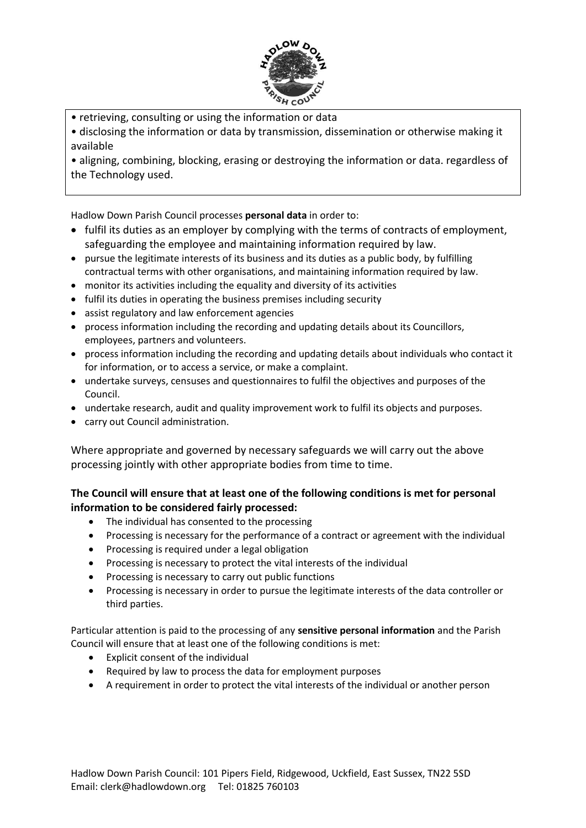

- retrieving, consulting or using the information or data
- disclosing the information or data by transmission, dissemination or otherwise making it available

• aligning, combining, blocking, erasing or destroying the information or data. regardless of the Technology used.

Hadlow Down Parish Council processes **personal data** in order to:

- fulfil its duties as an employer by complying with the terms of contracts of employment, safeguarding the employee and maintaining information required by law.
- pursue the legitimate interests of its business and its duties as a public body, by fulfilling contractual terms with other organisations, and maintaining information required by law.
- monitor its activities including the equality and diversity of its activities
- fulfil its duties in operating the business premises including security
- assist regulatory and law enforcement agencies
- process information including the recording and updating details about its Councillors, employees, partners and volunteers.
- process information including the recording and updating details about individuals who contact it for information, or to access a service, or make a complaint.
- undertake surveys, censuses and questionnaires to fulfil the objectives and purposes of the Council.
- undertake research, audit and quality improvement work to fulfil its objects and purposes.
- carry out Council administration.

Where appropriate and governed by necessary safeguards we will carry out the above processing jointly with other appropriate bodies from time to time.

## **The Council will ensure that at least one of the following conditions is met for personal information to be considered fairly processed:**

- The individual has consented to the processing
- Processing is necessary for the performance of a contract or agreement with the individual
- Processing is required under a legal obligation
- Processing is necessary to protect the vital interests of the individual
- Processing is necessary to carry out public functions
- Processing is necessary in order to pursue the legitimate interests of the data controller or third parties.

Particular attention is paid to the processing of any **sensitive personal information** and the Parish Council will ensure that at least one of the following conditions is met:

- Explicit consent of the individual
- Required by law to process the data for employment purposes
- A requirement in order to protect the vital interests of the individual or another person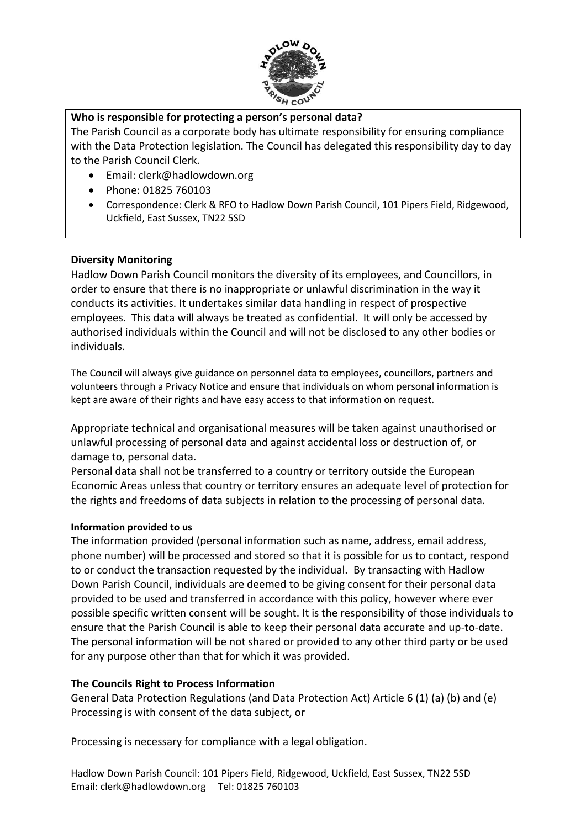

## **Who is responsible for protecting a person's personal data?**

The Parish Council as a corporate body has ultimate responsibility for ensuring compliance with the Data Protection legislation. The Council has delegated this responsibility day to day to the Parish Council Clerk.

- Email: clerk@hadlowdown.org
- Phone: 01825 760103
- Correspondence: Clerk & RFO to Hadlow Down Parish Council, 101 Pipers Field, Ridgewood, Uckfield, East Sussex, TN22 5SD

## **Diversity Monitoring**

Hadlow Down Parish Council monitors the diversity of its employees, and Councillors, in order to ensure that there is no inappropriate or unlawful discrimination in the way it conducts its activities. It undertakes similar data handling in respect of prospective employees. This data will always be treated as confidential. It will only be accessed by authorised individuals within the Council and will not be disclosed to any other bodies or individuals.

The Council will always give guidance on personnel data to employees, councillors, partners and volunteers through a Privacy Notice and ensure that individuals on whom personal information is kept are aware of their rights and have easy access to that information on request.

Appropriate technical and organisational measures will be taken against unauthorised or unlawful processing of personal data and against accidental loss or destruction of, or damage to, personal data.

Personal data shall not be transferred to a country or territory outside the European Economic Areas unless that country or territory ensures an adequate level of protection for the rights and freedoms of data subjects in relation to the processing of personal data.

#### **Information provided to us**

The information provided (personal information such as name, address, email address, phone number) will be processed and stored so that it is possible for us to contact, respond to or conduct the transaction requested by the individual. By transacting with Hadlow Down Parish Council, individuals are deemed to be giving consent for their personal data provided to be used and transferred in accordance with this policy, however where ever possible specific written consent will be sought. It is the responsibility of those individuals to ensure that the Parish Council is able to keep their personal data accurate and up-to-date. The personal information will be not shared or provided to any other third party or be used for any purpose other than that for which it was provided.

## **The Councils Right to Process Information**

General Data Protection Regulations (and Data Protection Act) Article 6 (1) (a) (b) and (e) Processing is with consent of the data subject, or

Processing is necessary for compliance with a legal obligation.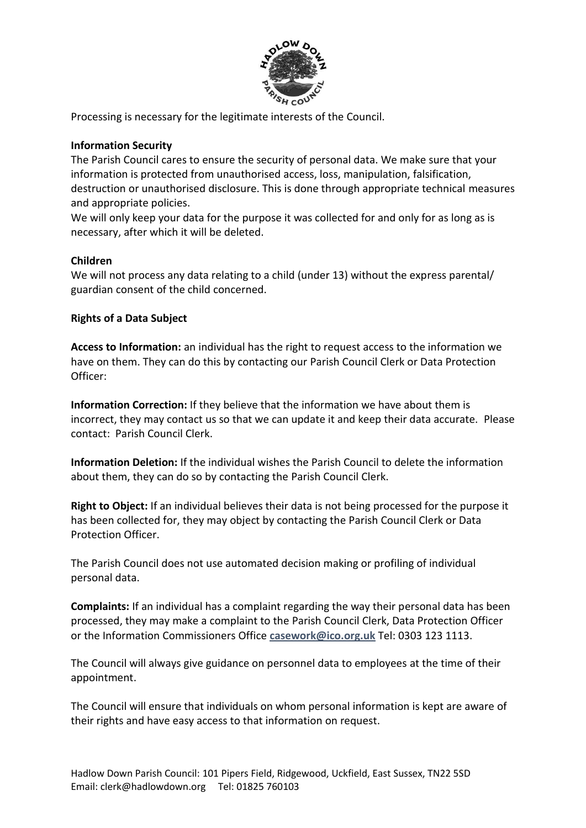

Processing is necessary for the legitimate interests of the Council.

## **Information Security**

The Parish Council cares to ensure the security of personal data. We make sure that your information is protected from unauthorised access, loss, manipulation, falsification, destruction or unauthorised disclosure. This is done through appropriate technical measures and appropriate policies.

We will only keep your data for the purpose it was collected for and only for as long as is necessary, after which it will be deleted.

### **Children**

We will not process any data relating to a child (under 13) without the express parental/ guardian consent of the child concerned.

### **Rights of a Data Subject**

**Access to Information:** an individual has the right to request access to the information we have on them. They can do this by contacting our Parish Council Clerk or Data Protection Officer:

**Information Correction:** If they believe that the information we have about them is incorrect, they may contact us so that we can update it and keep their data accurate. Please contact: Parish Council Clerk.

**Information Deletion:** If the individual wishes the Parish Council to delete the information about them, they can do so by contacting the Parish Council Clerk.

**Right to Object:** If an individual believes their data is not being processed for the purpose it has been collected for, they may object by contacting the Parish Council Clerk or Data Protection Officer.

The Parish Council does not use automated decision making or profiling of individual personal data.

**Complaints:** If an individual has a complaint regarding the way their personal data has been processed, they may make a complaint to the Parish Council Clerk, Data Protection Officer or the Information Commissioners Office **[casework@ico.org.uk](mailto:casework@ico.org.uk)** Tel: 0303 123 1113.

The Council will always give guidance on personnel data to employees at the time of their appointment.

The Council will ensure that individuals on whom personal information is kept are aware of their rights and have easy access to that information on request.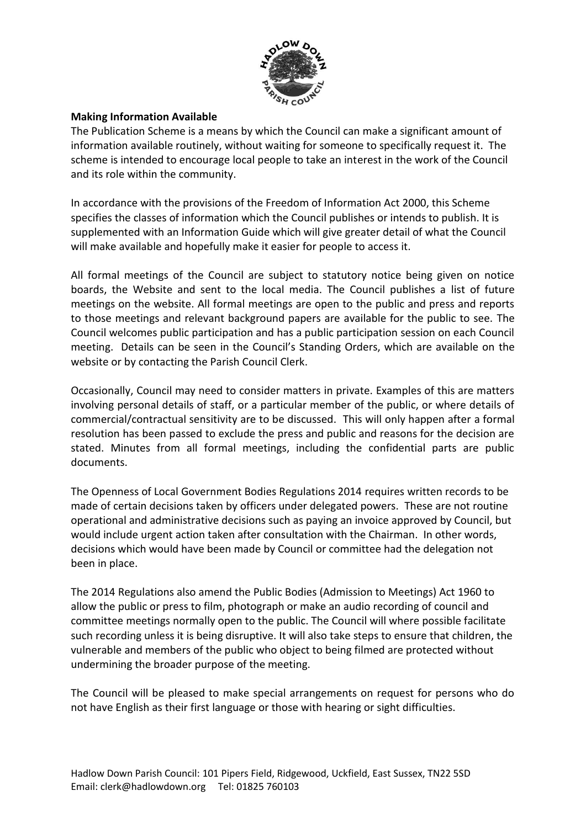

## **Making Information Available**

The Publication Scheme is a means by which the Council can make a significant amount of information available routinely, without waiting for someone to specifically request it. The scheme is intended to encourage local people to take an interest in the work of the Council and its role within the community.

In accordance with the provisions of the Freedom of Information Act 2000, this Scheme specifies the classes of information which the Council publishes or intends to publish. It is supplemented with an Information Guide which will give greater detail of what the Council will make available and hopefully make it easier for people to access it.

All formal meetings of the Council are subject to statutory notice being given on notice boards, the Website and sent to the local media. The Council publishes a list of future meetings on the website. All formal meetings are open to the public and press and reports to those meetings and relevant background papers are available for the public to see. The Council welcomes public participation and has a public participation session on each Council meeting. Details can be seen in the Council's Standing Orders, which are available on the website or by contacting the Parish Council Clerk.

Occasionally, Council may need to consider matters in private. Examples of this are matters involving personal details of staff, or a particular member of the public, or where details of commercial/contractual sensitivity are to be discussed. This will only happen after a formal resolution has been passed to exclude the press and public and reasons for the decision are stated. Minutes from all formal meetings, including the confidential parts are public documents.

The Openness of Local Government Bodies Regulations 2014 requires written records to be made of certain decisions taken by officers under delegated powers. These are not routine operational and administrative decisions such as paying an invoice approved by Council, but would include urgent action taken after consultation with the Chairman. In other words, decisions which would have been made by Council or committee had the delegation not been in place.

The 2014 Regulations also amend the Public Bodies (Admission to Meetings) Act 1960 to allow the public or press to film, photograph or make an audio recording of council and committee meetings normally open to the public. The Council will where possible facilitate such recording unless it is being disruptive. It will also take steps to ensure that children, the vulnerable and members of the public who object to being filmed are protected without undermining the broader purpose of the meeting.

The Council will be pleased to make special arrangements on request for persons who do not have English as their first language or those with hearing or sight difficulties.